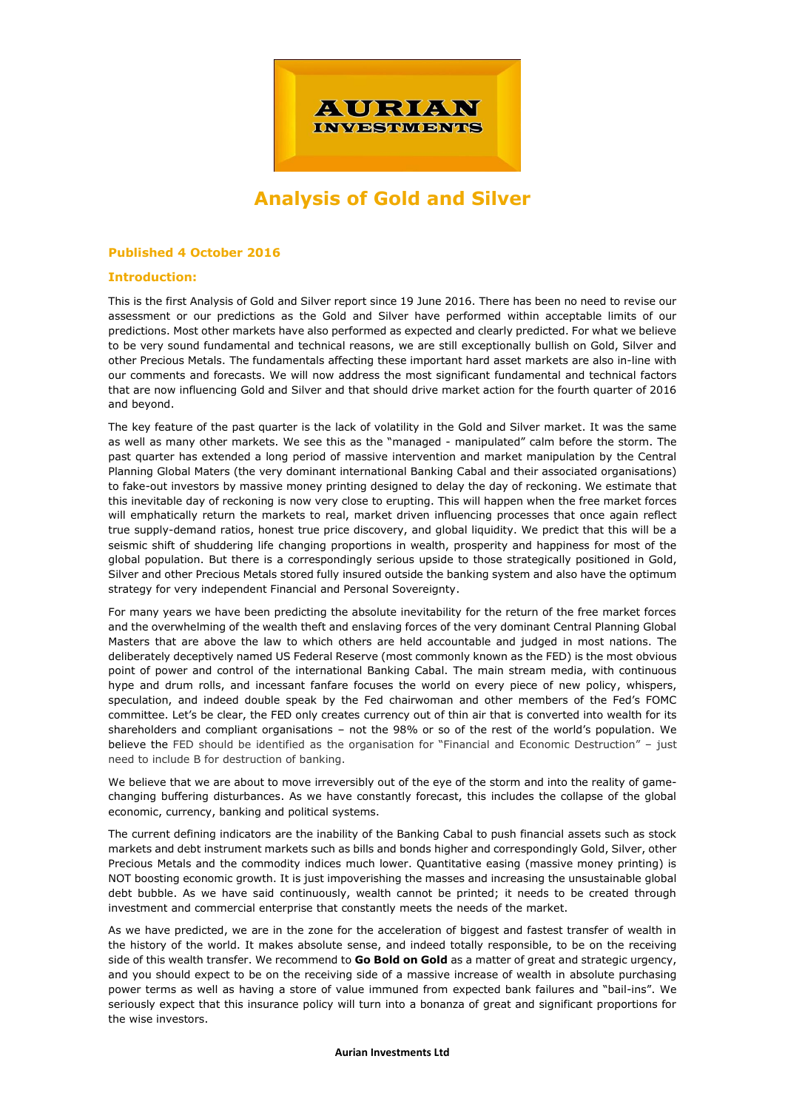

# **Analysis of Gold and Silver**

## **Published 4 October 2016**

## **Introduction:**

This is the first Analysis of Gold and Silver report since 19 June 2016. There has been no need to revise our assessment or our predictions as the Gold and Silver have performed within acceptable limits of our predictions. Most other markets have also performed as expected and clearly predicted. For what we believe to be very sound fundamental and technical reasons, we are still exceptionally bullish on Gold, Silver and other Precious Metals. The fundamentals affecting these important hard asset markets are also in-line with our comments and forecasts. We will now address the most significant fundamental and technical factors that are now influencing Gold and Silver and that should drive market action for the fourth quarter of 2016 and beyond.

The key feature of the past quarter is the lack of volatility in the Gold and Silver market. It was the same as well as many other markets. We see this as the "managed - manipulated" calm before the storm. The past quarter has extended a long period of massive intervention and market manipulation by the Central Planning Global Maters (the very dominant international Banking Cabal and their associated organisations) to fake-out investors by massive money printing designed to delay the day of reckoning. We estimate that this inevitable day of reckoning is now very close to erupting. This will happen when the free market forces will emphatically return the markets to real, market driven influencing processes that once again reflect true supply-demand ratios, honest true price discovery, and global liquidity. We predict that this will be a seismic shift of shuddering life changing proportions in wealth, prosperity and happiness for most of the global population. But there is a correspondingly serious upside to those strategically positioned in Gold, Silver and other Precious Metals stored fully insured outside the banking system and also have the optimum strategy for very independent Financial and Personal Sovereignty.

For many years we have been predicting the absolute inevitability for the return of the free market forces and the overwhelming of the wealth theft and enslaving forces of the very dominant Central Planning Global Masters that are above the law to which others are held accountable and judged in most nations. The deliberately deceptively named US Federal Reserve (most commonly known as the FED) is the most obvious point of power and control of the international Banking Cabal. The main stream media, with continuous hype and drum rolls, and incessant fanfare focuses the world on every piece of new policy, whispers, speculation, and indeed double speak by the Fed chairwoman and other members of the Fed's FOMC committee. Let's be clear, the FED only creates currency out of thin air that is converted into wealth for its shareholders and compliant organisations – not the 98% or so of the rest of the world's population. We believe the FED should be identified as the organisation for "Financial and Economic Destruction" – just need to include B for destruction of banking.

We believe that we are about to move irreversibly out of the eye of the storm and into the reality of gamechanging buffering disturbances. As we have constantly forecast, this includes the collapse of the global economic, currency, banking and political systems.

The current defining indicators are the inability of the Banking Cabal to push financial assets such as stock markets and debt instrument markets such as bills and bonds higher and correspondingly Gold, Silver, other Precious Metals and the commodity indices much lower. Quantitative easing (massive money printing) is NOT boosting economic growth. It is just impoverishing the masses and increasing the unsustainable global debt bubble. As we have said continuously, wealth cannot be printed; it needs to be created through investment and commercial enterprise that constantly meets the needs of the market.

As we have predicted, we are in the zone for the acceleration of biggest and fastest transfer of wealth in the history of the world. It makes absolute sense, and indeed totally responsible, to be on the receiving side of this wealth transfer. We recommend to **Go Bold on Gold** as a matter of great and strategic urgency, and you should expect to be on the receiving side of a massive increase of wealth in absolute purchasing power terms as well as having a store of value immuned from expected bank failures and "bail-ins". We seriously expect that this insurance policy will turn into a bonanza of great and significant proportions for the wise investors.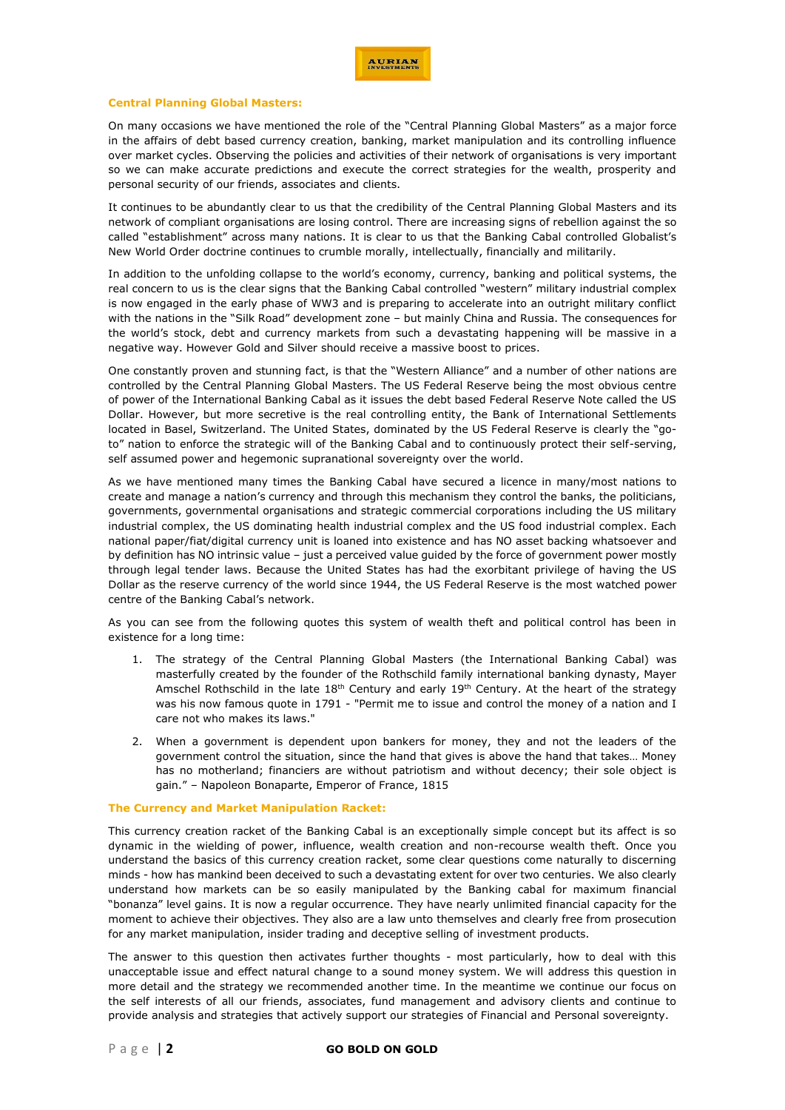## **Central Planning Global Masters:**

On many occasions we have mentioned the role of the "Central Planning Global Masters" as a major force in the affairs of debt based currency creation, banking, market manipulation and its controlling influence over market cycles. Observing the policies and activities of their network of organisations is very important so we can make accurate predictions and execute the correct strategies for the wealth, prosperity and personal security of our friends, associates and clients.

It continues to be abundantly clear to us that the credibility of the Central Planning Global Masters and its network of compliant organisations are losing control. There are increasing signs of rebellion against the so called "establishment" across many nations. It is clear to us that the Banking Cabal controlled Globalist's [New World Order doctrine continues to crumble morally, intellectually,](http://www.veteranstoday.com/2016/05/21/new-world-order-doctrine-continues-to-crumble-morally-and-intellectually/) financially and militarily.

In addition to the unfolding collapse to the world's economy, currency, banking and political systems, the real concern to us is the clear signs that the Banking Cabal controlled "western" military industrial complex is now engaged in the early phase of WW3 and is preparing to accelerate into an outright military conflict with the nations in the "Silk Road" development zone – but mainly China and Russia. The consequences for the world's stock, debt and currency markets from such a devastating happening will be massive in a negative way. However Gold and Silver should receive a massive boost to prices.

One constantly proven and stunning fact, is that the "Western Alliance" and a number of other nations are controlled by the Central Planning Global Masters. The US Federal Reserve being the most obvious centre of power of the International Banking Cabal as it issues the debt based Federal Reserve Note called the US Dollar. However, but more secretive is the real controlling entity, the Bank of International Settlements located in Basel, Switzerland. The United States, dominated by the US Federal Reserve is clearly the "goto" nation to enforce the strategic will of the Banking Cabal and to continuously protect their self-serving, self assumed power and hegemonic supranational sovereignty over the world.

As we have mentioned many times the Banking Cabal have secured a licence in many/most nations to create and manage a nation's currency and through this mechanism they control the banks, the politicians, governments, governmental organisations and strategic commercial corporations including the US military industrial complex, the US dominating health industrial complex and the US food industrial complex. Each national paper/fiat/digital currency unit is loaned into existence and has NO asset backing whatsoever and by definition has NO intrinsic value – just a perceived value guided by the force of government power mostly through legal tender laws. Because the United States has had the exorbitant privilege of having the US Dollar as the reserve currency of the world since 1944, the US Federal Reserve is the most watched power centre of the Banking Cabal's network.

As you can see from the following quotes this system of wealth theft and political control has been in existence for a long time:

- 1. The strategy of the Central Planning Global Masters (the International Banking Cabal) was masterfully created by the founder of the Rothschild family international banking dynasty, Mayer Amschel Rothschild in the late  $18<sup>th</sup>$  Century and early  $19<sup>th</sup>$  Century. At the heart of the strategy was his now famous quote in 1791 - "Permit me to issue and control the money of a nation and I care not who makes its laws."
- 2. When a government is dependent upon bankers for money, they and not the leaders of the government control the situation, since the hand that gives is above the hand that takes… Money has no motherland; financiers are without patriotism and without decency; their sole object is gain." – Napoleon Bonaparte, Emperor of France, 1815

#### **The Currency and Market Manipulation Racket:**

This currency creation racket of the Banking Cabal is an exceptionally simple concept but its affect is so dynamic in the wielding of power, influence, wealth creation and non-recourse wealth theft. Once you understand the basics of this currency creation racket, some clear questions come naturally to discerning minds - how has mankind been deceived to such a devastating extent for over two centuries. We also clearly understand how markets can be so easily manipulated by the Banking cabal for maximum financial "bonanza" level gains. It is now a regular occurrence. They have nearly unlimited financial capacity for the moment to achieve their objectives. They also are a law unto themselves and clearly free from prosecution for any market manipulation, insider trading and deceptive selling of investment products.

The answer to this question then activates further thoughts - most particularly, how to deal with this unacceptable issue and effect natural change to a sound money system. We will address this question in more detail and the strategy we recommended another time. In the meantime we continue our focus on the self interests of all our friends, associates, fund management and advisory clients and continue to provide analysis and strategies that actively support our strategies of Financial and Personal sovereignty.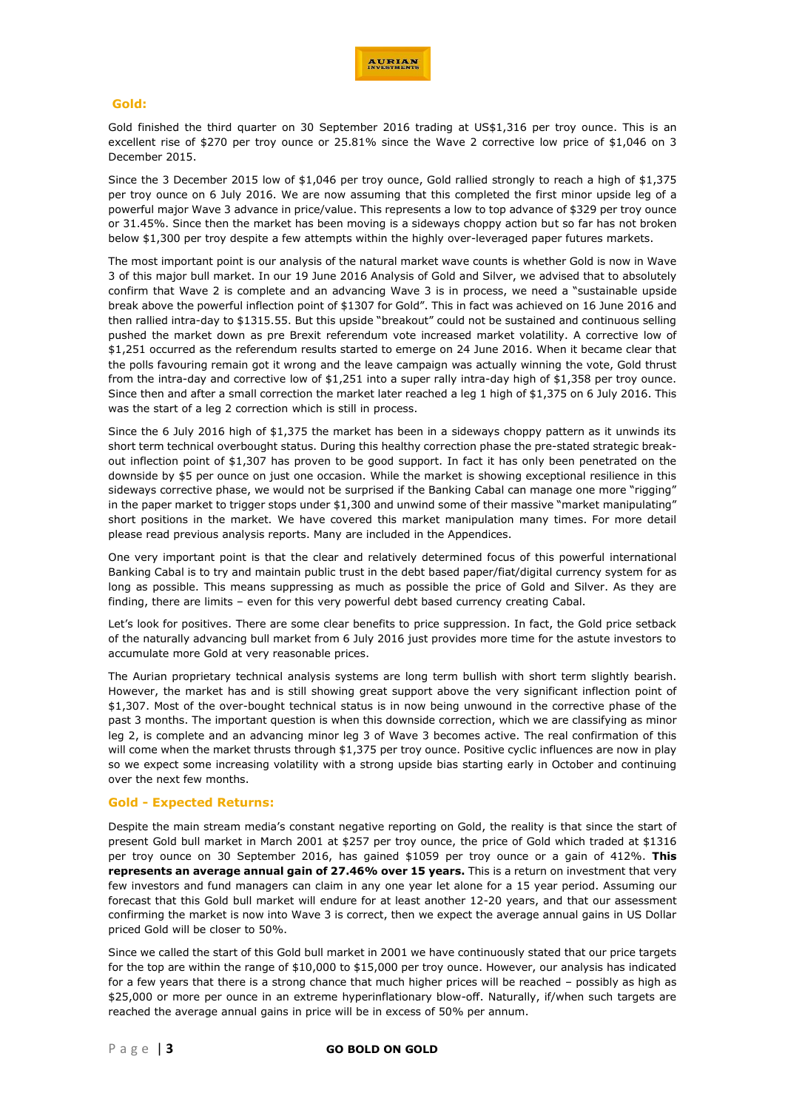

## **Gold:**

Gold finished the third quarter on 30 September 2016 trading at US\$1,316 per troy ounce. This is an excellent rise of \$270 per troy ounce or 25.81% since the Wave 2 corrective low price of \$1,046 on 3 December 2015.

Since the 3 December 2015 low of \$1,046 per troy ounce, Gold rallied strongly to reach a high of \$1,375 per troy ounce on 6 July 2016. We are now assuming that this completed the first minor upside leg of a powerful major Wave 3 advance in price/value. This represents a low to top advance of \$329 per troy ounce or 31.45%. Since then the market has been moving is a sideways choppy action but so far has not broken below \$1,300 per troy despite a few attempts within the highly over-leveraged paper futures markets.

The most important point is our analysis of the natural market wave counts is whether Gold is now in Wave 3 of this major bull market. In our 19 June 2016 Analysis of Gold and Silver, we advised that to absolutely confirm that Wave 2 is complete and an advancing Wave 3 is in process, we need a "sustainable upside break above the powerful inflection point of \$1307 for Gold". This in fact was achieved on 16 June 2016 and then rallied intra-day to \$1315.55. But this upside "breakout" could not be sustained and continuous selling pushed the market down as pre Brexit referendum vote increased market volatility. A corrective low of \$1,251 occurred as the referendum results started to emerge on 24 June 2016. When it became clear that the polls favouring remain got it wrong and the leave campaign was actually winning the vote, Gold thrust from the intra-day and corrective low of \$1,251 into a super rally intra-day high of \$1,358 per troy ounce. Since then and after a small correction the market later reached a leg 1 high of \$1,375 on 6 July 2016. This was the start of a leg 2 correction which is still in process.

Since the 6 July 2016 high of \$1,375 the market has been in a sideways choppy pattern as it unwinds its short term technical overbought status. During this healthy correction phase the pre-stated strategic breakout inflection point of \$1,307 has proven to be good support. In fact it has only been penetrated on the downside by \$5 per ounce on just one occasion. While the market is showing exceptional resilience in this sideways corrective phase, we would not be surprised if the Banking Cabal can manage one more "rigging" in the paper market to trigger stops under \$1,300 and unwind some of their massive "market manipulating" short positions in the market. We have covered this market manipulation many times. For more detail please read previous analysis reports. Many are included in the Appendices.

One very important point is that the clear and relatively determined focus of this powerful international Banking Cabal is to try and maintain public trust in the debt based paper/fiat/digital currency system for as long as possible. This means suppressing as much as possible the price of Gold and Silver. As they are finding, there are limits – even for this very powerful debt based currency creating Cabal.

Let's look for positives. There are some clear benefits to price suppression. In fact, the Gold price setback of the naturally advancing bull market from 6 July 2016 just provides more time for the astute investors to accumulate more Gold at very reasonable prices.

The Aurian proprietary technical analysis systems are long term bullish with short term slightly bearish. However, the market has and is still showing great support above the very significant inflection point of \$1,307. Most of the over-bought technical status is in now being unwound in the corrective phase of the past 3 months. The important question is when this downside correction, which we are classifying as minor leg 2, is complete and an advancing minor leg 3 of Wave 3 becomes active. The real confirmation of this will come when the market thrusts through \$1,375 per troy ounce. Positive cyclic influences are now in play so we expect some increasing volatility with a strong upside bias starting early in October and continuing over the next few months.

## **Gold - Expected Returns:**

Despite the main stream media's constant negative reporting on Gold, the reality is that since the start of present Gold bull market in March 2001 at \$257 per troy ounce, the price of Gold which traded at \$1316 per troy ounce on 30 September 2016, has gained \$1059 per troy ounce or a gain of 412%. **This represents an average annual gain of 27.46% over 15 years.** This is a return on investment that very few investors and fund managers can claim in any one year let alone for a 15 year period. Assuming our forecast that this Gold bull market will endure for at least another 12-20 years, and that our assessment confirming the market is now into Wave 3 is correct, then we expect the average annual gains in US Dollar priced Gold will be closer to 50%.

Since we called the start of this Gold bull market in 2001 we have continuously stated that our price targets for the top are within the range of \$10,000 to \$15,000 per troy ounce. However, our analysis has indicated for a few years that there is a strong chance that much higher prices will be reached – possibly as high as \$25,000 or more per ounce in an extreme hyperinflationary blow-off. Naturally, if/when such targets are reached the average annual gains in price will be in excess of 50% per annum.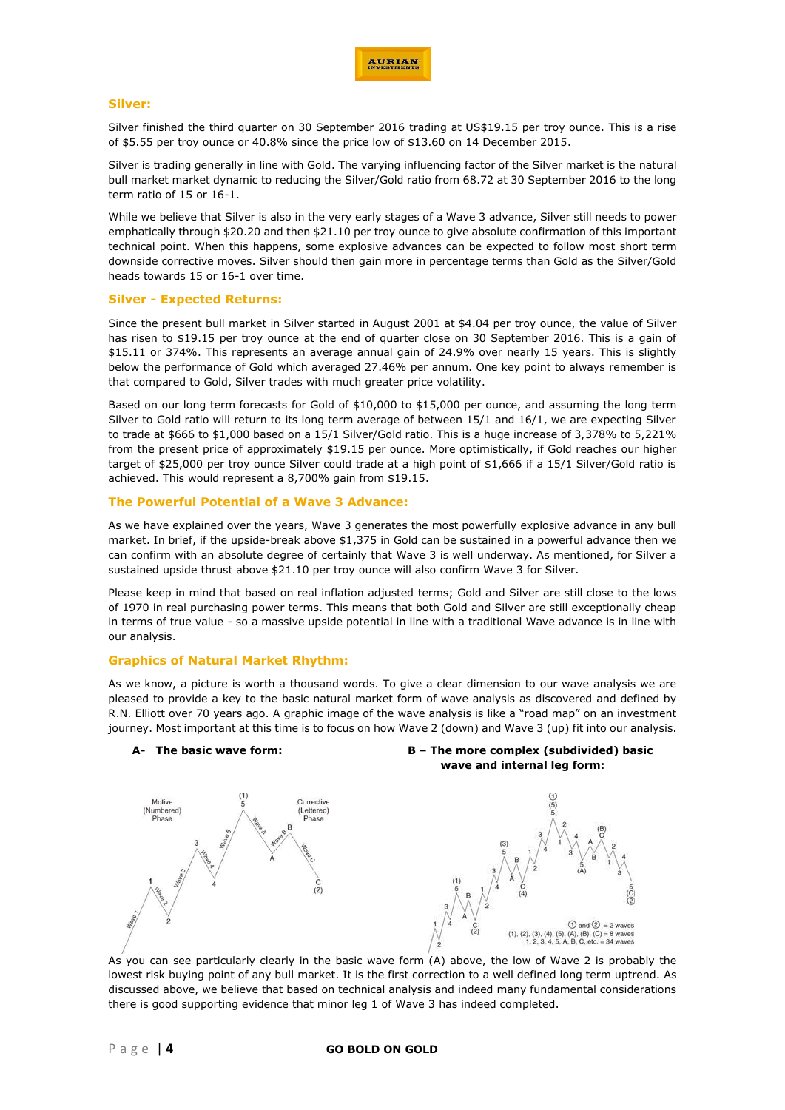

## **Silver:**

Silver finished the third quarter on 30 September 2016 trading at US\$19.15 per troy ounce. This is a rise of \$5.55 per troy ounce or 40.8% since the price low of \$13.60 on 14 December 2015.

Silver is trading generally in line with Gold. The varying influencing factor of the Silver market is the natural bull market market dynamic to reducing the Silver/Gold ratio from 68.72 at 30 September 2016 to the long term ratio of 15 or 16-1.

While we believe that Silver is also in the very early stages of a Wave 3 advance, Silver still needs to power emphatically through \$20.20 and then \$21.10 per troy ounce to give absolute confirmation of this important technical point. When this happens, some explosive advances can be expected to follow most short term downside corrective moves. Silver should then gain more in percentage terms than Gold as the Silver/Gold heads towards 15 or 16-1 over time.

## **Silver - Expected Returns:**

Since the present bull market in Silver started in August 2001 at \$4.04 per troy ounce, the value of Silver has risen to \$19.15 per troy ounce at the end of quarter close on 30 September 2016. This is a gain of \$15.11 or 374%. This represents an average annual gain of 24.9% over nearly 15 years. This is slightly below the performance of Gold which averaged 27.46% per annum. One key point to always remember is that compared to Gold, Silver trades with much greater price volatility.

Based on our long term forecasts for Gold of \$10,000 to \$15,000 per ounce, and assuming the long term Silver to Gold ratio will return to its long term average of between 15/1 and 16/1, we are expecting Silver to trade at \$666 to \$1,000 based on a 15/1 Silver/Gold ratio. This is a huge increase of 3,378% to 5,221% from the present price of approximately \$19.15 per ounce. More optimistically, if Gold reaches our higher target of \$25,000 per troy ounce Silver could trade at a high point of \$1,666 if a 15/1 Silver/Gold ratio is achieved. This would represent a 8,700% gain from \$19.15.

## **The Powerful Potential of a Wave 3 Advance:**

As we have explained over the years, Wave 3 generates the most powerfully explosive advance in any bull market. In brief, if the upside-break above \$1,375 in Gold can be sustained in a powerful advance then we can confirm with an absolute degree of certainly that Wave 3 is well underway. As mentioned, for Silver a sustained upside thrust above \$21.10 per troy ounce will also confirm Wave 3 for Silver.

Please keep in mind that based on real inflation adjusted terms; Gold and Silver are still close to the lows of 1970 in real purchasing power terms. This means that both Gold and Silver are still exceptionally cheap in terms of true value - so a massive upside potential in line with a traditional Wave advance is in line with our analysis.

## **Graphics of Natural Market Rhythm:**

As we know, a picture is worth a thousand words. To give a clear dimension to our wave analysis we are pleased to provide a key to the basic natural market form of wave analysis as discovered and defined by R.N. Elliott over 70 years ago. A graphic image of the wave analysis is like a "road map" on an investment journey. Most important at this time is to focus on how Wave 2 (down) and Wave 3 (up) fit into our analysis.



As you can see particularly clearly in the basic wave form (A) above, the low of Wave 2 is probably the lowest risk buying point of any bull market. It is the first correction to a well defined long term uptrend. As discussed above, we believe that based on technical analysis and indeed many fundamental considerations there is good supporting evidence that minor leg 1 of Wave 3 has indeed completed.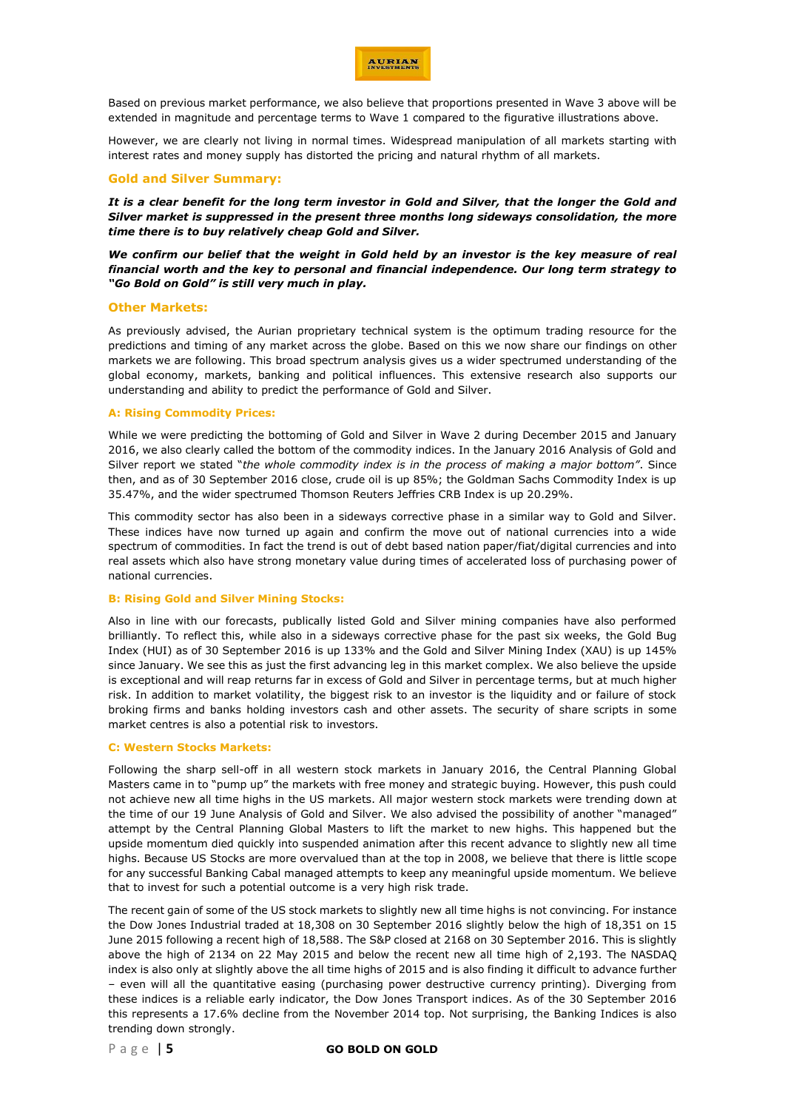

Based on previous market performance, we also believe that proportions presented in Wave 3 above will be extended in magnitude and percentage terms to Wave 1 compared to the figurative illustrations above.

However, we are clearly not living in normal times. Widespread manipulation of all markets starting with interest rates and money supply has distorted the pricing and natural rhythm of all markets.

# **Gold and Silver Summary:**

*It is a clear benefit for the long term investor in Gold and Silver, that the longer the Gold and Silver market is suppressed in the present three months long sideways consolidation, the more time there is to buy relatively cheap Gold and Silver.*

*We confirm our belief that the weight in Gold held by an investor is the key measure of real financial worth and the key to personal and financial independence. Our long term strategy to "Go Bold on Gold" is still very much in play.*

### **Other Markets:**

As previously advised, the Aurian proprietary technical system is the optimum trading resource for the predictions and timing of any market across the globe. Based on this we now share our findings on other markets we are following. This broad spectrum analysis gives us a wider spectrumed understanding of the global economy, markets, banking and political influences. This extensive research also supports our understanding and ability to predict the performance of Gold and Silver.

#### **A: Rising Commodity Prices:**

While we were predicting the bottoming of Gold and Silver in Wave 2 during December 2015 and January 2016, we also clearly called the bottom of the commodity indices. In the January 2016 Analysis of Gold and Silver report we stated "*the whole commodity index is in the process of making a major bottom"*. Since then, and as of 30 September 2016 close, crude oil is up 85%; the Goldman Sachs Commodity Index is up 35.47%, and the wider spectrumed Thomson Reuters Jeffries CRB Index is up 20.29%.

This commodity sector has also been in a sideways corrective phase in a similar way to Gold and Silver. These indices have now turned up again and confirm the move out of national currencies into a wide spectrum of commodities. In fact the trend is out of debt based nation paper/fiat/digital currencies and into real assets which also have strong monetary value during times of accelerated loss of purchasing power of national currencies.

#### **B: Rising Gold and Silver Mining Stocks:**

Also in line with our forecasts, publically listed Gold and Silver mining companies have also performed brilliantly. To reflect this, while also in a sideways corrective phase for the past six weeks, the Gold Bug Index (HUI) as of 30 September 2016 is up 133% and the Gold and Silver Mining Index (XAU) is up 145% since January. We see this as just the first advancing leg in this market complex. We also believe the upside is exceptional and will reap returns far in excess of Gold and Silver in percentage terms, but at much higher risk. In addition to market volatility, the biggest risk to an investor is the liquidity and or failure of stock broking firms and banks holding investors cash and other assets. The security of share scripts in some market centres is also a potential risk to investors.

### **C: Western Stocks Markets:**

Following the sharp sell-off in all western stock markets in January 2016, the Central Planning Global Masters came in to "pump up" the markets with free money and strategic buying. However, this push could not achieve new all time highs in the US markets. All major western stock markets were trending down at the time of our 19 June Analysis of Gold and Silver. We also advised the possibility of another "managed" attempt by the Central Planning Global Masters to lift the market to new highs. This happened but the upside momentum died quickly into suspended animation after this recent advance to slightly new all time highs. Because US Stocks are more overvalued than at the top in 2008, we believe that there is little scope for any successful Banking Cabal managed attempts to keep any meaningful upside momentum. We believe that to invest for such a potential outcome is a very high risk trade.

The recent gain of some of the US stock markets to slightly new all time highs is not convincing. For instance the Dow Jones Industrial traded at 18,308 on 30 September 2016 slightly below the high of 18,351 on 15 June 2015 following a recent high of 18,588. The S&P closed at 2168 on 30 September 2016. This is slightly above the high of 2134 on 22 May 2015 and below the recent new all time high of 2,193. The NASDAQ index is also only at slightly above the all time highs of 2015 and is also finding it difficult to advance further – even will all the quantitative easing (purchasing power destructive currency printing). Diverging from these indices is a reliable early indicator, the Dow Jones Transport indices. As of the 30 September 2016 this represents a 17.6% decline from the November 2014 top. Not surprising, the Banking Indices is also trending down strongly.